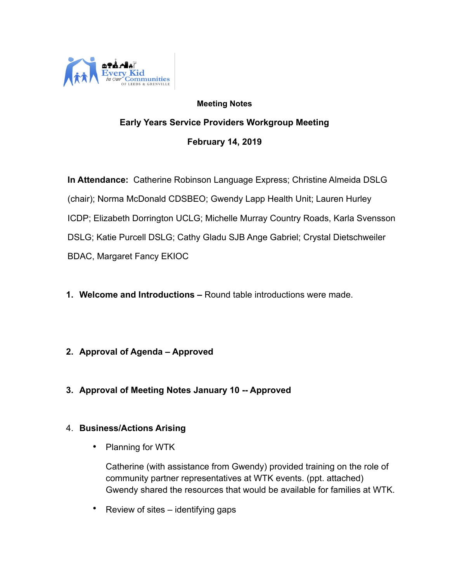

## **Meeting Notes Early Years Service Providers Workgroup Meeting February 14, 2019**

 **In Attendance:** Catherine Robinson Language Express; Christine Almeida DSLG (chair); Norma McDonald CDSBEO; Gwendy Lapp Health Unit; Lauren Hurley ICDP; Elizabeth Dorrington UCLG; Michelle Murray Country Roads, Karla Svensson DSLG; Katie Purcell DSLG; Cathy Gladu SJB Ange Gabriel; Crystal Dietschweiler BDAC, Margaret Fancy EKIOC

- **1. Welcome and Introductions** Round table introductions were made.
- **2. Approval of Agenda Approved**
- **3. Approval of Meeting Notes January 10 -- Approved**

## 4. **Business/Actions Arising**

• Planning for WTK

Catherine (with assistance from Gwendy) provided training on the role of community partner representatives at WTK events. (ppt. attached) Gwendy shared the resources that would be available for families at WTK.

• Review of sites – identifying gaps